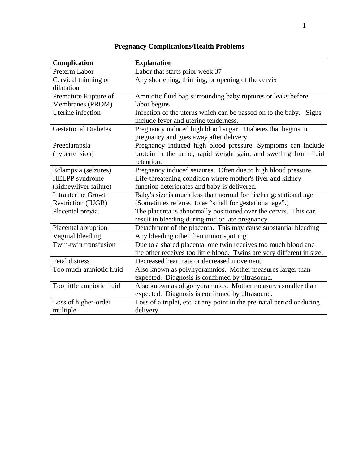| Complication                | <b>Explanation</b>                                                     |  |
|-----------------------------|------------------------------------------------------------------------|--|
| Preterm Labor               | Labor that starts prior week 37                                        |  |
| Cervical thinning or        | Any shortening, thinning, or opening of the cervix                     |  |
| dilatation                  |                                                                        |  |
| Premature Rupture of        | Amniotic fluid bag surrounding baby ruptures or leaks before           |  |
| Membranes (PROM)            | labor begins                                                           |  |
| Uterine infection           | Infection of the uterus which can be passed on to the baby.<br>Signs   |  |
|                             | include fever and uterine tenderness.                                  |  |
| <b>Gestational Diabetes</b> | Pregnancy induced high blood sugar. Diabetes that begins in            |  |
|                             | pregnancy and goes away after delivery.                                |  |
| Preeclampsia                | Pregnancy induced high blood pressure. Symptoms can include            |  |
| (hypertension)              | protein in the urine, rapid weight gain, and swelling from fluid       |  |
|                             | retention.                                                             |  |
| Eclampsia (seizures)        | Pregnancy induced seizures. Often due to high blood pressure.          |  |
| <b>HELPP</b> syndrome       | Life-threatening condition where mother's liver and kidney             |  |
| (kidney/liver failure)      | function deteriorates and baby is delivered.                           |  |
| <b>Intrauterine Growth</b>  | Baby's size is much less than normal for his/her gestational age.      |  |
| Restriction (IUGR)          | (Sometimes referred to as "small for gestational age".)                |  |
| Placental previa            | The placenta is abnormally positioned over the cervix. This can        |  |
|                             | result in bleeding during mid or late pregnancy                        |  |
| Placental abruption         | Detachment of the placenta. This may cause substantial bleeding        |  |
| Vaginal bleeding            | Any bleeding other than minor spotting                                 |  |
| Twin-twin transfusion       | Due to a shared placenta, one twin receives too much blood and         |  |
|                             | the other receives too little blood. Twins are very different in size. |  |
| Fetal distress              | Decreased heart rate or decreased movement.                            |  |
| Too much amniotic fluid     | Also known as polyhydramnios. Mother measures larger than              |  |
|                             | expected. Diagnosis is confirmed by ultrasound.                        |  |
| Too little amniotic fluid   | Also known as oligohydramnios. Mother measures smaller than            |  |
|                             | expected. Diagnosis is confirmed by ultrasound.                        |  |
| Loss of higher-order        | Loss of a triplet, etc. at any point in the pre-natal period or during |  |
| multiple                    | delivery.                                                              |  |

## **Pregnancy Complications/Health Problems**